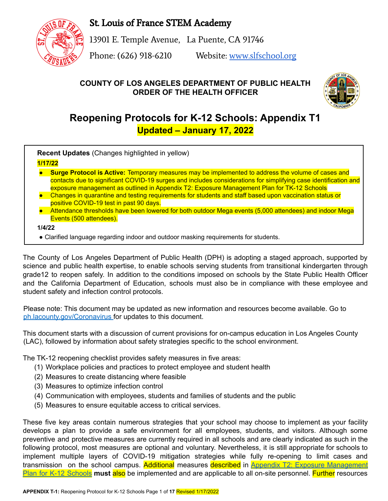St. Louis of France STEM Academy



13901 E. Temple Avenue, La Puente, CA 91746

Phone: (626) 918-6210 Website: [www.slfschool.org](http://www.slfschool.org)

# **COUNTY OF LOS ANGELES DEPARTMENT OF PUBLIC HEALTH ORDER OF THE HEALTH OFFICER**



# **Reopening Protocols for K-12 Schools: Appendix T1 Updated – January 17, 2022**

**Recent Updates** (Changes highlighted in yellow)

## **1/17/22**

- **Surge Protocol is Active:** Temporary measures may be implemented to address the volume of cases and contacts due to significant COVID-19 surges and includes considerations for simplifying case identification and exposure management as outlined in Appendix T2: Exposure Management Plan for TK-12 Schools
- Changes in quarantine and testing requirements for students and staff based upon vaccination status or positive COVID-19 test in past 90 days.
- Attendance thresholds have been lowered for both outdoor Mega events (5,000 attendees) and indoor Mega Events (500 attendees).

#### **1/4/22**

● Clarified language regarding indoor and outdoor masking requirements for students.

The County of Los Angeles Department of Public Health (DPH) is adopting a staged approach, supported by science and public health expertise, to enable schools serving students from transitional kindergarten through grade12 to reopen safely. In addition to the conditions imposed on schools by the State Public Health Officer and the California Department of Education, schools must also be in compliance with these employee and student safety and infection control protocols.

Please note: This document may be updated as new information and resources become available. Go to ph.lacounty.gov/Coronavirus for updates to this document.

This document starts with a discussion of current provisions for on-campus education in Los Angeles County (LAC), followed by information about safety strategies specific to the school environment.

The TK-12 reopening checklist provides safety measures in five areas:

- (1) Workplace policies and practices to protect employee and student health
- (2) Measures to create distancing where feasible
- (3) Measures to optimize infection control
- (4) Communication with employees, students and families of students and the public
- (5) Measures to ensure equitable access to critical services.

These five key areas contain numerous strategies that your school may choose to implement as your facility develops a plan to provide a safe environment for all employees, students, and visitors. Although some preventive and protective measures are currently required in all schools and are clearly indicated as such in the following protocol, most measures are optional and voluntary. Nevertheless, it is still appropriate for schools to implement multiple layers of COVID-19 mitigation strategies while fully re-opening to limit cases and transmission on the school campus. Additional measures described in Appendix T2: Exposure [Management](http://publichealth.lacounty.gov/media/Coronavirus/docs/protocols/ExposureManagementPlan_K12Schools.pdf) Plan for K-12 [Schools](http://publichealth.lacounty.gov/media/Coronavirus/docs/protocols/ExposureManagementPlan_K12Schools.pdf) **must** also be implemented and are applicable to all on-site personnel. Further resources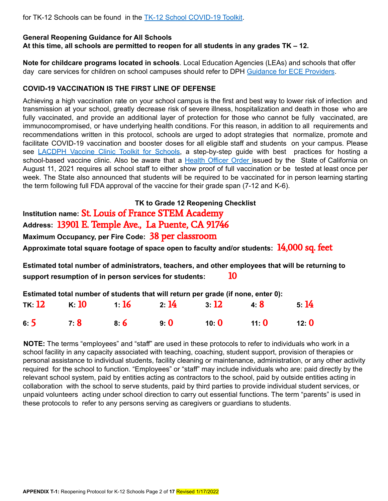for TK-12 Schools can be found in the TK-12 School COVID-19 Toolkit.

#### **General Reopening Guidance for All Schools**

**At this time, all schools are permitted to reopen for all students in any grades TK – 12.**

**Note for childcare programs located in schools**. Local Education Agencies (LEAs) and schools that offer day care services for children on school campuses should refer to DPH Guidance for ECE Providers.

#### **COVID-19 VACCINATION IS THE FIRST LINE OF DEFENSE**

Achieving a high vaccination rate on your school campus is the first and best way to lower risk of infection and transmission at your school, greatly decrease risk of severe illness, hospitalization and death in those who are fully vaccinated, and provide an additional layer of protection for those who cannot be fully vaccinated, are immunocompromised, or have underlying health conditions. For this reason, in addition to all requirements and recommendations written in this protocol, schools are urged to adopt strategies that normalize, promote and facilitate COVID-19 vaccination and booster doses for all eligible staff and students on your campus. Please see LACDPH Vaccine Clinic Toolkit for Schools, a step-by-step guide with best practices for hosting a school-based vaccine clinic. Also be aware that a Health Officer Order issued by the State of California on August 11, 2021 requires all school staff to either show proof of full vaccination or be tested at least once per week. The State also announced that students will be required to be vaccinated for in person learning starting the term following full FDA approval of the vaccine for their grade span (7-12 and K-6).

**TK to Grade 12 Reopening Checklist**

**Institution name:** St. Louis of France STEM Academy

**Address:** 13901 E. Temple Ave., La Puente, CA 91746

**Maximum Occupancy, per Fire Code:** 38 per classroom

**Approximate total square footage of space open to faculty and/or students:** 14,000 sq. feet

**Estimated total number of administrators, teachers, and other employees that will be returning to support resumption of in person services for students:** 10

| Estimated total number of students that will return per grade (if none, enter 0): |                            |      |      |      |      |         |
|-----------------------------------------------------------------------------------|----------------------------|------|------|------|------|---------|
|                                                                                   | тк: <b>12</b> к: <b>10</b> | 1:16 | 2:14 | 3:12 | 48   | 5:14    |
| 6:5                                                                               | 7:8                        | 86   | 90   | 10:0 | 11:0 | 12: $0$ |

**NOTE:** The terms "employees" and "staff" are used in these protocols to refer to individuals who work in a school facility in any capacity associated with teaching, coaching, student support, provision of therapies or personal assistance to individual students, facility cleaning or maintenance, administration, or any other activity required for the school to function. "Employees" or "staff" may include individuals who are: paid directly by the relevant school system, paid by entities acting as contractors to the school, paid by outside entities acting in collaboration with the school to serve students, paid by third parties to provide individual student services, or unpaid volunteers acting under school direction to carry out essential functions. The term "parents" is used in these protocols to refer to any persons serving as caregivers or guardians to students.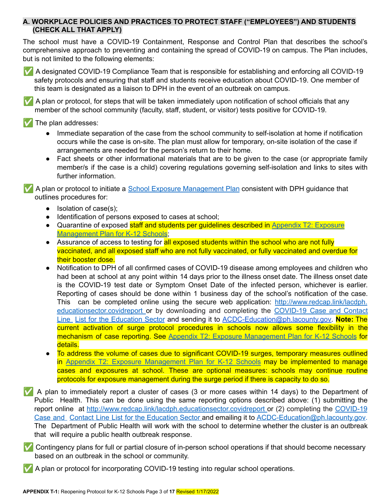## **A. WORKPLACE POLICIES AND PRACTICES TO PROTECT STAFF ("EMPLOYEES") AND STUDENTS (CHECK ALL THAT APPLY)**

The school must have a COVID-19 Containment, Response and Control Plan that describes the school's comprehensive approach to preventing and containing the spread of COVID-19 on campus. The Plan includes, but is not limited to the following elements:



✅ A designated COVID-19 Compliance Team that is responsible for establishing and enforcing all COVID-19 safety protocols and ensuring that staff and students receive education about COVID-19. One member of this team is designated as a liaison to DPH in the event of an outbreak on campus.

✅ A plan or protocol, for steps that will be taken immediately upon notification of school officials that any member of the school community (faculty, staff, student, or visitor) tests positive for COVID-19.

The plan addresses:

- Immediate separation of the case from the school community to self-isolation at home if notification occurs while the case is on-site. The plan must allow for temporary, on-site isolation of the case if arrangements are needed for the person's return to their home.
- Fact sheets or other informational materials that are to be given to the case (or appropriate family member/s if the case is a child) covering regulations governing self-isolation and links to sites with further information.

✅ A plan or protocol to initiate a School Exposure Management Plan consistent with DPH guidance that outlines procedures for:

- Isolation of case(s);
- Identification of persons exposed to cases at school;
- Quarantine of exposed staff and students per guidelines described in Appendix T2: [Exposure](http://publichealth.lacounty.gov/media/Coronavirus/docs/protocols/ExposureManagementPlan_K12Schools.pdf) [Management](http://publichealth.lacounty.gov/media/Coronavirus/docs/protocols/ExposureManagementPlan_K12Schools.pdf) Plan for K-12 Schools;
- Assurance of access to testing for **all exposed students within the school who are not fully** vaccinated, and all exposed staff who are not fully vaccinated, or fully vaccinated and overdue for their booster dose.
- Notification to DPH of all confirmed cases of COVID-19 disease among employees and children who had been at school at any point within 14 days prior to the illness onset date. The illness onset date is the COVID-19 test date or Symptom Onset Date of the infected person, whichever is earlier. Reporting of cases should be done within 1 business day of the school's notification of the case. This can be completed online using the secure web application: http://www.redcap.link/lacdph. educationsector.covidreport or by downloading and completing the COVID-19 Case and Contact Line List for the Education Sector and sending it to [ACDC-Education@ph.lacounty.gov](mailto:ACDC-Education@ph.lacounty.gov). **Note:** The current activation of surge protocol procedures in schools now allows some flexibility in the mechanism of case reporting. See Appendix T2: Exposure [Management](http://publichealth.lacounty.gov/media/Coronavirus/docs/protocols/ExposureManagementPlan_K12Schools.pdf) Plan for K-12 Schools for details.
- To address the volume of cases due to significant COVID-19 surges, temporary measures outlined in Appendix T2: Exposure [Management](http://publichealth.lacounty.gov/media/Coronavirus/docs/protocols/ExposureManagementPlan_K12Schools.pdf) Plan for K-12 Schools may be implemented to manage cases and exposures at school. These are optional measures: schools may continue routine protocols for exposure management during the surge period if there is capacity to do so.
- ✅ A plan to immediately report a cluster of cases (3 or more cases within 14 days) to the Department of Public Health. This can be done using the same reporting options described above: (1) submitting the report online at http://www.redcap.link/lacdph.educationsector.covidreport or (2) completing the COVID-19 Case and Contact Line List for the Education Sector and emailing it to ACDC-Education@ph.lacounty.gov. The Department of Public Health will work with the school to determine whether the cluster is an outbreak that will require a public health outbreak response.

✅ Contingency plans for full or partial closure of in-person school operations if that should become necessary based on an outbreak in the school or community.

A plan or protocol for incorporating COVID-19 testing into regular school operations.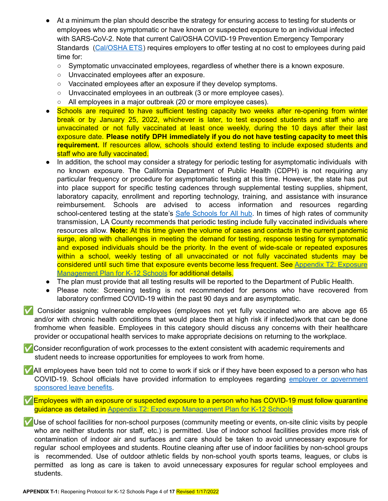- At a minimum the plan should describe the strategy for ensuring access to testing for students or employees who are symptomatic or have known or suspected exposure to an individual infected with SARS-CoV-2. Note that current Cal/OSHA COVID-19 Prevention Emergency Temporary Standards (Cal/OSHA ETS) requires employers to offer testing at no cost to employees during paid time for:
	- Symptomatic unvaccinated employees, regardless of whether there is a known exposure.
	- Unvaccinated employees after an exposure.
	- Vaccinated employees after an exposure if they develop symptoms.
	- Unvaccinated employees in an outbreak (3 or more employee cases).
	- All employees in a major outbreak (20 or more employee cases).
- Schools are required to have sufficient testing capacity two weeks after re-opening from winter break or by January 25, 2022, whichever is later, to test exposed students and staff who are unvaccinated or not fully vaccinated at least once weekly, during the 10 days after their last exposure date. **Please notify DPH immediately if you do not have testing capacity to meet this requirement.** If resources allow, schools should extend testing to include exposed students and staff who are fully vaccinated.
- In addition, the school may consider a strategy for periodic testing for asymptomatic individuals with no known exposure. The California Department of Public Health (CDPH) is not requiring any particular frequency or procedure for asymptomatic testing at this time. However, the state has put into place support for specific testing cadences through supplemental testing supplies, shipment, laboratory capacity, enrollment and reporting technology, training, and assistance with insurance reimbursement. Schools are advised to access information and resources regarding school-centered testing at the state's Safe Schools for All hub. In times of high rates of community transmission, LA County recommends that periodic testing include fully vaccinated individuals where resources allow. **Note:** At this time given the volume of cases and contacts in the current pandemic surge, along with challenges in meeting the demand for testing, response testing for symptomatic and exposed individuals should be the priority. In the event of wide-scale or repeated exposures within a school, weekly testing of all unvaccinated or not fully vaccinated students may be considered until such time that exposure events become less frequent. See Appendix T2: [Exposure](http://publichealth.lacounty.gov/media/Coronavirus/docs/protocols/ExposureManagementPlan_K12Schools.pdf) [Management](http://publichealth.lacounty.gov/media/Coronavirus/docs/protocols/ExposureManagementPlan_K12Schools.pdf) Plan for K-12 Schools for additional details.
- The plan must provide that all testing results will be reported to the Department of Public Health.
- Please note: Screening testing is not recommended for persons who have recovered from laboratory confirmed COVID-19 within the past 90 days and are asymptomatic.
- ✅ Consider assigning vulnerable employees (employees not yet fully vaccinated who are above age 65 and/or with chronic health conditions that would place them at high risk if infected)work that can be done fromhome when feasible. Employees in this category should discuss any concerns with their healthcare provider or occupational health services to make appropriate decisions on returning to the workplace.

■ Consider reconfiguration of work processes to the extent consistent with academic requirements and student needs to increase opportunities for employees to work from home.

✅All employees have been told not to come to work if sick or if they have been exposed to a person who has COVID-19. School officials have provided information to employees regarding employer or government sponsored leave benefits.

✅Employees with an exposure or suspected exposure to a person who has COVID-19 must follow quarantine guidance as detailed in Appendix T2: Exposure [Management](http://publichealth.lacounty.gov/media/Coronavirus/docs/protocols/ExposureManagementPlan_K12Schools.pdf) Plan for K-12 Schools

✅Use of school facilities for non-school purposes (community meeting or events, on-site clinic visits by people who are neither students nor staff, etc.) is permitted. Use of indoor school facilities provides more risk of contamination of indoor air and surfaces and care should be taken to avoid unnecessary exposure for regular school employees and students. Routine cleaning after use of indoor facilities by non-school groups is recommended. Use of outdoor athletic fields by non-school youth sports teams, leagues, or clubs is permitted as long as care is taken to avoid unnecessary exposures for regular school employees and students.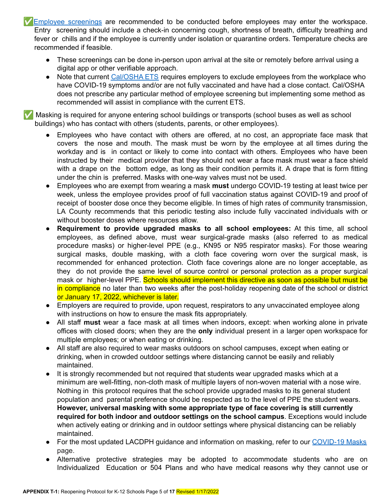✅Employee screenings are recommended to be conducted before employees may enter the workspace. Entry screening should include a check-in concerning cough, shortness of breath, difficulty breathing and fever or chills and if the employee is currently under isolation or quarantine orders. Temperature checks are recommended if feasible.

- These screenings can be done in-person upon arrival at the site or remotely before arrival using a digital app or other verifiable approach.
- Note that current Cal/OSHA ETS requires employers to exclude employees from the workplace who have COVID-19 symptoms and/or are not fully vaccinated and have had a close contact. Cal/OSHA does not prescribe any particular method of employee screening but implementing some method as recommended will assist in compliance with the current ETS.

✅ Masking is required for anyone entering school buildings or transports (school buses as well as school buildings) who has contact with others (students, parents, or other employees).

- Employees who have contact with others are offered, at no cost, an appropriate face mask that covers the nose and mouth. The mask must be worn by the employee at all times during the workday and is in contact or likely to come into contact with others. Employees who have been instructed by their medical provider that they should not wear a face mask must wear a face shield with a drape on the bottom edge, as long as their condition permits it. A drape that is form fitting under the chin is preferred. Masks with one-way valves must not be used.
- Employees who are exempt from wearing a mask **must** undergo COVID-19 testing at least twice per week, unless the employee provides proof of full vaccination status against COVID-19 and proof of receipt of booster dose once they become eligible. In times of high rates of community transmission, LA County recommends that this periodic testing also include fully vaccinated individuals with or without booster doses where resources allow.
- **Requirement to provide upgraded masks to all school employees:** At this time, all school employees, as defined above, must wear surgical-grade masks (also referred to as medical procedure masks) or higher-level PPE (e.g., KN95 or N95 respirator masks). For those wearing surgical masks, double masking, with a cloth face covering worn over the surgical mask, is recommended for enhanced protection. Cloth face coverings alone are no longer acceptable, as they do not provide the same level of source control or personal protection as a proper surgical mask or higher-level PPE. Schools should implement this directive as soon as possible but must be in compliance no later than two weeks after the post-holiday reopening date of the school or district or January 17, 2022, whichever is later.
- Employers are required to provide, upon request, respirators to any unvaccinated employee along with instructions on how to ensure the mask fits appropriately.
- All staff **must** wear a face mask at all times when indoors, except: when working alone in private offices with closed doors; when they are the **only** individual present in a larger open workspace for multiple employees; or when eating or drinking.
- All staff are also required to wear masks outdoors on school campuses, except when eating or drinking, when in crowded outdoor settings where distancing cannot be easily and reliably maintained.
- It is strongly recommended but not required that students wear upgraded masks which at a minimum are well-fitting, non-cloth mask of multiple layers of non-woven material with a nose wire. Nothing in this protocol requires that the school provide upgraded masks to its general student population and parental preference should be respected as to the level of PPE the student wears. **However, universal masking with some appropriate type of face covering is still currently required for both indoor and outdoor settings on the school campus**. Exceptions would include when actively eating or drinking and in outdoor settings where physical distancing can be reliably maintained.
- For the most updated LACDPH guidance and information on masking, refer to our COVID-19 Masks page.
- Alternative protective strategies may be adopted to accommodate students who are on Individualized Education or 504 Plans and who have medical reasons why they cannot use or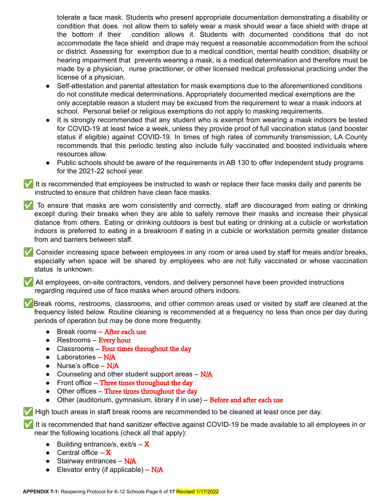tolerate a face mask. Students who present appropriate documentation demonstrating a disability or condition that does not allow them to safely wear a mask should wear a face shield with drape at the bottom if their condition allows it. Students with documented conditions that do not accommodate the face shield and drape may request a reasonable accommodation from the school or district. Assessing for exemption due to a medical condition, mental health condition, disability or hearing impairment that prevents wearing a mask, is a medical determination and therefore must be made by a physician, nurse practitioner, or other licensed medical professional practicing under the license of a physician.

- Self-attestation and parental attestation for mask exemptions due to the aforementioned conditions do not constitute medical determinations. Appropriately documented medical exemptions are the only acceptable reason a student may be excused from the requirement to wear a mask indoors at school. Personal belief or religious exemptions do not apply to masking requirements.
- It is strongly recommended that any student who is exempt from wearing a mask indoors be tested for COVID-19 at least twice a week, unless they provide proof of full vaccination status (and booster status if eligible) against COVID-19. In times of high rates of community transmission, LA County recommends that this periodic testing also include fully vaccinated and boosted individuals where resources allow.
- Public schools should be aware of the requirements in AB 130 to offer independent study programs for the 2021-22 school year.

■ It is recommended that employees be instructed to wash or replace their face masks daily and parents be instructed to ensure that children have clean face masks.

✅ To ensure that masks are worn consistently and correctly, staff are discouraged from eating or drinking except during their breaks when they are able to safely remove their masks and increase their physical distance from others. Eating or drinking outdoors is best but eating or drinking at a cubicle or workstation indoors is preferred to eating in a breakroom if eating in a cubicle or workstation permits greater distance from and barriers between staff.

✅ Consider increasing space between employees in any room or area used by staff for meals and/or breaks, especially when space will be shared by employees who are not fully vaccinated or whose vaccination status is unknown.

✅ All employees, on-site contractors, vendors, and delivery personnel have been provided instructions regarding required use of face masks when around others indoors.

✅Break rooms, restrooms, classrooms, and other common areas used or visited by staff are cleaned at the frequency listed below. Routine cleaning is recommended at a frequency no less than once per day during periods of operation but may be done more frequently.

- $\bullet$  Break rooms **After each use**
- $\bullet$  Restrooms Every hour
- $\bullet$  Classrooms Four times throughout the day
- $\bullet$  Laboratories N/A
- Nurse's office  $N/A$
- Counseling and other student support areas  $N/A$
- Front office Three times throughout the day
- Other offices Three times throughout the day
- Other (auditorium, gymnasium, library if in use) Before and after each use

✅ High touch areas in staff break rooms are recommended to be cleaned at least once per day.

It is recommended that hand sanitizer effective against COVID-19 be made available to all employees in or near the following locations (check all that apply):

- **•** Building entrance/s, exit/s  $-\mathbf{X}$
- Central office  $-\mathbf{X}$
- $\bullet$  Stairway entrances N/A
- **•** Elevator entry (if applicable)  $N/A$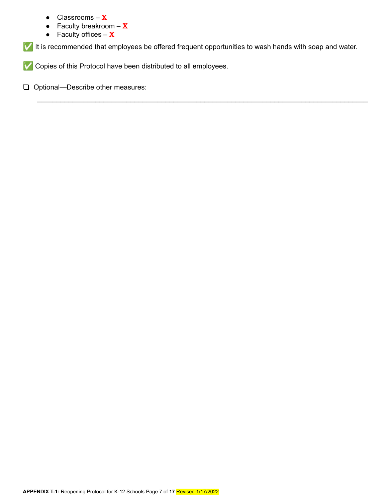- Classrooms  $X$
- Faculty breakroom  $-\mathbf{X}$
- Faculty offices  $X$

✅ It is recommended that employees be offered frequent opportunities to wash hands with soap and water.

\_\_\_\_\_\_\_\_\_\_\_\_\_\_\_\_\_\_\_\_\_\_\_\_\_\_\_\_\_\_\_\_\_\_\_\_\_\_\_\_\_\_\_\_\_\_\_\_\_\_\_\_\_\_\_\_\_\_\_\_\_\_\_\_\_\_\_\_\_\_\_\_\_\_\_\_\_\_\_\_\_\_\_\_\_

✅ Copies of this Protocol have been distributed to all employees.

❑ Optional—Describe other measures: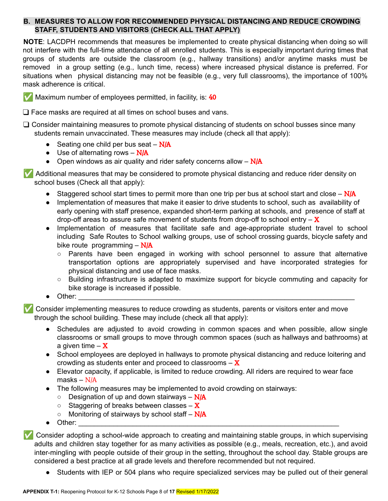## **B. MEASURES TO ALLOW FOR RECOMMENDED PHYSICAL DISTANCING AND REDUCE CROWDING STAFF, STUDENTS AND VISITORS (CHECK ALL THAT APPLY)**

**NOTE**: LACDPH recommends that measures be implemented to create physical distancing when doing so will not interfere with the full-time attendance of all enrolled students. This is especially important during times that groups of students are outside the classroom (e.g., hallway transitions) and/or anytime masks must be removed in a group setting (e.g., lunch time, recess) where increased physical distance is preferred. For situations when physical distancing may not be feasible (e.g., very full classrooms), the importance of 100% mask adherence is critical.



❑ Face masks are required at all times on school buses and vans.

❑ Consider maintaining measures to promote physical distancing of students on school busses since many students remain unvaccinated. These measures may include (check all that apply):

- Seating one child per bus seat  $N/A$
- $\bullet$  Use of alternating rows N/A
- Open windows as air quality and rider safety concerns allow  $N/A$

✅ Additional measures that may be considered to promote physical distancing and reduce rider density on school buses (Check all that apply):

- Staggered school start times to permit more than one trip per bus at school start and close  $N/A$
- Implementation of measures that make it easier to drive students to school, such as availability of early opening with staff presence, expanded short-term parking at schools, and presence of staff at drop-off areas to assure safe movement of students from drop-off to school entry  $-\mathbf{X}$
- Implementation of measures that facilitate safe and age-appropriate student travel to school including Safe Routes to School walking groups, use of school crossing guards, bicycle safety and bike route programming  $- N/A$ 
	- Parents have been engaged in working with school personnel to assure that alternative transportation options are appropriately supervised and have incorporated strategies for physical distancing and use of face masks.
	- Building infrastructure is adapted to maximize support for bicycle commuting and capacity for bike storage is increased if possible.
- Other: \_\_\_\_\_\_\_\_\_\_\_\_\_\_\_\_\_\_\_\_\_\_\_\_\_\_\_\_\_\_\_\_\_\_\_\_\_\_\_\_\_\_\_\_\_\_\_\_\_\_\_\_\_\_\_\_\_\_\_\_\_\_\_\_\_\_\_\_\_\_\_

Consider implementing measures to reduce crowding as students, parents or visitors enter and move through the school building. These may include (check all that apply):

- Schedules are adjusted to avoid crowding in common spaces and when possible, allow single classrooms or small groups to move through common spaces (such as hallways and bathrooms) at a given time  $-\mathbf{X}$
- School employees are deployed in hallways to promote physical distancing and reduce loitering and crowding as students enter and proceed to classrooms  $-\mathbf{X}$
- Elevator capacity, if applicable, is limited to reduce crowding. All riders are required to wear face masks – N/A
- The following measures may be implemented to avoid crowding on stairways:
	- $\circ$  Designation of up and down stairways N/A
	- $\circ$  Staggering of breaks between classes X
	- $\circ$  Monitoring of stairways by school staff N/A
- Other: \_\_\_\_\_\_\_\_\_\_\_\_\_\_\_\_\_\_\_\_\_\_\_\_\_\_\_\_\_\_\_\_\_\_\_\_\_\_\_\_\_\_\_\_\_\_\_\_\_\_\_\_\_\_\_\_\_\_\_\_\_\_\_\_\_\_\_

✅ Consider adopting a school-wide approach to creating and maintaining stable groups, in which supervising adults and children stay together for as many activities as possible (e.g., meals, recreation, etc.), and avoid inter-mingling with people outside of their group in the setting, throughout the school day. Stable groups are considered a best practice at all grade levels and therefore recommended but not required.

• Students with IEP or 504 plans who require specialized services may be pulled out of their general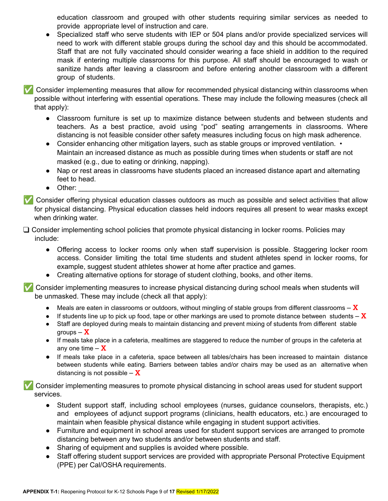education classroom and grouped with other students requiring similar services as needed to provide appropriate level of instruction and care.

Specialized staff who serve students with IEP or 504 plans and/or provide specialized services will need to work with different stable groups during the school day and this should be accommodated. Staff that are not fully vaccinated should consider wearing a face shield in addition to the required mask if entering multiple classrooms for this purpose. All staff should be encouraged to wash or sanitize hands after leaving a classroom and before entering another classroom with a different group of students.

✅ Consider implementing measures that allow for recommended physical distancing within classrooms when possible without interfering with essential operations. These may include the following measures (check all that apply):

- Classroom furniture is set up to maximize distance between students and between students and teachers. As a best practice, avoid using "pod" seating arrangements in classrooms. Where distancing is not feasible consider other safety measures including focus on high mask adherence.
- Consider enhancing other mitigation layers, such as stable groups or improved ventilation. Maintain an increased distance as much as possible during times when students or staff are not masked (e.g., due to eating or drinking, napping).
- Nap or rest areas in classrooms have students placed an increased distance apart and alternating feet to head.
- $\bullet$  Other:

✅ Consider offering physical education classes outdoors as much as possible and select activities that allow for physical distancing. Physical education classes held indoors requires all present to wear masks except when drinking water.

❑ Consider implementing school policies that promote physical distancing in locker rooms. Policies may include:

- Offering access to locker rooms only when staff supervision is possible. Staggering locker room access. Consider limiting the total time students and student athletes spend in locker rooms, for example, suggest student athletes shower at home after practice and games.
- Creating alternative options for storage of student clothing, books, and other items.

✅ Consider implementing measures to increase physical distancing during school meals when students will be unmasked. These may include (check all that apply):

- Meals are eaten in classrooms or outdoors, without mingling of stable groups from different classrooms  $-\mathbf{X}$
- $\bullet$  If students line up to pick up food, tape or other markings are used to promote distance between students X
- Staff are deployed during meals to maintain distancing and prevent mixing of students from different stable aroups  $-\mathbf{X}$
- If meals take place in a cafeteria, mealtimes are staggered to reduce the number of groups in the cafeteria at any one time  $-\mathbf{X}$
- If meals take place in a cafeteria, space between all tables/chairs has been increased to maintain distance between students while eating. Barriers between tables and/or chairs may be used as an alternative when distancing is not possible  $-\mathbf{X}$

✅ Consider implementing measures to promote physical distancing in school areas used for student support services.

- Student support staff, including school employees (nurses, guidance counselors, therapists, etc.) and employees of adjunct support programs (clinicians, health educators, etc.) are encouraged to maintain when feasible physical distance while engaging in student support activities.
- Furniture and equipment in school areas used for student support services are arranged to promote distancing between any two students and/or between students and staff.
- Sharing of equipment and supplies is avoided where possible.
- Staff offering student support services are provided with appropriate Personal Protective Equipment (PPE) per Cal/OSHA requirements.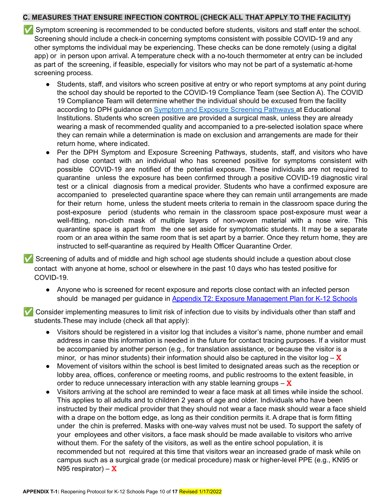## **C. MEASURES THAT ENSURE INFECTION CONTROL (CHECK ALL THAT APPLY TO THE FACILITY)**

- ✅ Symptom screening is recommended to be conducted before students, visitors and staff enter the school. Screening should include a check-in concerning symptoms consistent with possible COVID-19 and any other symptoms the individual may be experiencing. These checks can be done remotely (using a digital app) or in person upon arrival. A temperature check with a no-touch thermometer at entry can be included as part of the screening, if feasible, especially for visitors who may not be part of a systematic at-home screening process.
	- Students, staff, and visitors who screen positive at entry or who report symptoms at any point during the school day should be reported to the COVID-19 Compliance Team (see Section A). The COVID 19 Compliance Team will determine whether the individual should be excused from the facility according to DPH guidance on Symptom and Exposure Screening Pathways at Educational Institutions. Students who screen positive are provided a surgical mask, unless they are already wearing a mask of recommended quality and accompanied to a pre-selected isolation space where they can remain while a determination is made on exclusion and arrangements are made for their return home, where indicated.
	- Per the DPH Symptom and Exposure Screening Pathways, students, staff, and visitors who have had close contact with an individual who has screened positive for symptoms consistent with possible COVID-19 are notified of the potential exposure. These individuals are not required to quarantine unless the exposure has been confirmed through a positive COVID-19 diagnostic viral test or a clinical diagnosis from a medical provider. Students who have a confirmed exposure are accompanied to preselected quarantine space where they can remain until arrangements are made for their return home, unless the student meets criteria to remain in the classroom space during the post-exposure period (students who remain in the classroom space post-exposure must wear a well-fitting, non-cloth mask of multiple layers of non-woven material with a nose wire. This quarantine space is apart from the one set aside for symptomatic students. It may be a separate room or an area within the same room that is set apart by a barrier. Once they return home, they are instructed to self-quarantine as required by Health Officer Quarantine Order.

Screening of adults and of middle and high school age students should include a question about close contact with anyone at home, school or elsewhere in the past 10 days who has tested positive for COVID-19.

• Anyone who is screened for recent exposure and reports close contact with an infected person should be managed per guidance in Appendix T2: Exposure Management Plan for K-12 Schools

✅ Consider implementing measures to limit risk of infection due to visits by individuals other than staff and students.These may include (check all that apply):

- Visitors should be registered in a visitor log that includes a visitor's name, phone number and email address in case this information is needed in the future for contact tracing purposes. If a visitor must be accompanied by another person (e.g., for translation assistance, or because the visitor is a minor, or has minor students) their information should also be captured in the visitor  $log - X$
- Movement of visitors within the school is best limited to designated areas such as the reception or lobby area, offices, conference or meeting rooms, and public restrooms to the extent feasible, in order to reduce unnecessary interaction with any stable learning groups  $-\mathbf{X}$
- Visitors arriving at the school are reminded to wear a face mask at all times while inside the school. This applies to all adults and to children 2 years of age and older. Individuals who have been instructed by their medical provider that they should not wear a face mask should wear a face shield with a drape on the bottom edge, as long as their condition permits it. A drape that is form fitting under the chin is preferred. Masks with one-way valves must not be used. To support the safety of your employees and other visitors, a face mask should be made available to visitors who arrive without them. For the safety of the visitors, as well as the entire school population, it is recommended but not required at this time that visitors wear an increased grade of mask while on campus such as a surgical grade (or medical procedure) mask or higher-level PPE (e.g., KN95 or N95 respirator) –  $X$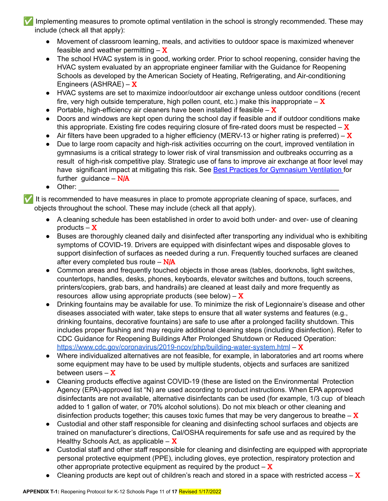Implementing measures to promote optimal ventilation in the school is strongly recommended. These may include (check all that apply):

- Movement of classroom learning, meals, and activities to outdoor space is maximized whenever feasible and weather permitting  $-\mathbf{X}$
- The school HVAC system is in good, working order. Prior to school reopening, consider having the HVAC system evaluated by an appropriate engineer familiar with the Guidance for Reopening Schools as developed by the American Society of Heating, Refrigerating, and Air-conditioning Engineers (ASHRAE) –  $X$
- HVAC systems are set to maximize indoor/outdoor air exchange unless outdoor conditions (recent fire, very high outside temperature, high pollen count, etc.) make this inappropriate  $-\mathbf{X}$
- Portable, high-efficiency air cleaners have been installed if feasible  $-\mathbf{X}$
- Doors and windows are kept open during the school day if feasible and if outdoor conditions make this appropriate. Existing fire codes requiring closure of fire-rated doors must be respected  $-\mathbf{X}$
- Air filters have been upgraded to a higher efficiency (MERV-13 or higher rating is preferred)  $\overline{X}$
- Due to large room capacity and high-risk activities occurring on the court, improved ventilation in gymnasiums is a critical strategy to lower risk of viral transmission and outbreaks occurring as a result of high-risk competitive play. Strategic use of fans to improve air exchange at floor level may have significant impact at mitigating this risk. See Best Practices for Gymnasium Ventilation for further guidance  $- N/A$
- $\bullet$  Other:

It is recommended to have measures in place to promote appropriate cleaning of space, surfaces, and objects throughout the school. These may include (check all that apply).

- A cleaning schedule has been established in order to avoid both under- and over- use of cleaning products  $-\mathbf{X}$
- Buses are thoroughly cleaned daily and disinfected after transporting any individual who is exhibiting symptoms of COVID-19. Drivers are equipped with disinfectant wipes and disposable gloves to support disinfection of surfaces as needed during a run. Frequently touched surfaces are cleaned after every completed bus route  $-$  N/A
- Common areas and frequently touched objects in those areas (tables, doorknobs, light switches, countertops, handles, desks, phones, keyboards, elevator switches and buttons, touch screens, printers/copiers, grab bars, and handrails) are cleaned at least daily and more frequently as resources allow using appropriate products (see below)  $-\mathbf{X}$
- Drinking fountains may be available for use. To minimize the risk of Legionnaire's disease and other diseases associated with water, take steps to ensure that all water systems and features (e.g., drinking fountains, decorative fountains) are safe to use after a prolonged facility shutdown. This includes proper flushing and may require additional cleaning steps (including disinfection). Refer to CDC Guidance for Reopening Buildings After Prolonged Shutdown or Reduced Operation: <https://www.cdc.gov/coronavirus/2019-ncov/php/building-water-system.html> – X
- Where individualized alternatives are not feasible, for example, in laboratories and art rooms where some equipment may have to be used by multiple students, objects and surfaces are sanitized between users  $-\mathbf{X}$
- Cleaning products effective against COVID-19 (these are listed on the Environmental Protection Agency (EPA)-approved list "N) are used according to product instructions. When EPA approved disinfectants are not available, alternative disinfectants can be used (for example, 1/3 cup of bleach added to 1 gallon of water, or 70% alcohol solutions). Do not mix bleach or other cleaning and disinfection products together; this causes toxic fumes that may be very dangerous to breathe  $-\mathbf{X}$
- Custodial and other staff responsible for cleaning and disinfecting school surfaces and objects are trained on manufacturer's directions, Cal/OSHA requirements for safe use and as required by the Healthy Schools Act, as applicable  $- X$
- Custodial staff and other staff responsible for cleaning and disinfecting are equipped with appropriate personal protective equipment (PPE), including gloves, eye protection, respiratory protection and other appropriate protective equipment as required by the product  $-\mathbf{X}$
- Cleaning products are kept out of children's reach and stored in a space with restricted access  $-\mathbf{X}$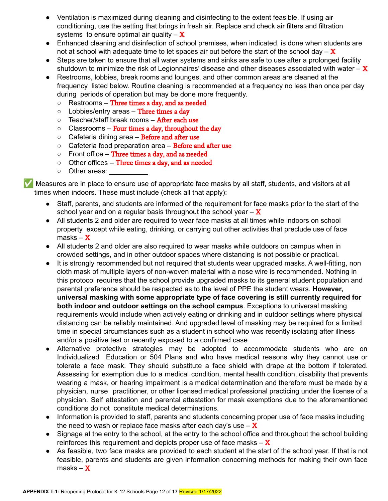- Ventilation is maximized during cleaning and disinfecting to the extent feasible. If using air conditioning, use the setting that brings in fresh air. Replace and check air filters and filtration systems to ensure optimal air quality  $-\mathbf{X}$
- Enhanced cleaning and disinfection of school premises, when indicated, is done when students are not at school with adequate time to let spaces air out before the start of the school day  $-\mathbf{X}$
- Steps are taken to ensure that all water systems and sinks are safe to use after a prolonged facility shutdown to minimize the risk of Legionnaires' disease and other diseases associated with water  $-\mathbf{X}$
- Restrooms, lobbies, break rooms and lounges, and other common areas are cleaned at the frequency listed below. Routine cleaning is recommended at a frequency no less than once per day during periods of operation but may be done more frequently.
	- Restrooms Three times a day, and as needed
	- $\circ$  Lobbies/entry areas Three times a day
	- Teacher/staff break rooms **After each use**
	- $\circ$  Classrooms Four times a day, throughout the day
	- $\circ$  Cafeteria dining area Before and after use
	- Cafeteria food preparation area **Before and after use**
	- $\circ$  Front office Three times a day, and as needed
	- Other offices Three times a day, and as needed
	- o Other areas:

✅ Measures are in place to ensure use of appropriate face masks by all staff, students, and visitors at all times when indoors. These must include (check all that apply):

- Staff, parents, and students are informed of the requirement for face masks prior to the start of the school year and on a regular basis throughout the school year  $-\mathbf{X}$
- All students 2 and older are required to wear face masks at all times while indoors on school property except while eating, drinking, or carrying out other activities that preclude use of face masks –  $X$
- All students 2 and older are also required to wear masks while outdoors on campus when in crowded settings, and in other outdoor spaces where distancing is not possible or practical.
- It is strongly recommended but not required that students wear upgraded masks. A well-fitting, non cloth mask of multiple layers of non-woven material with a nose wire is recommended. Nothing in this protocol requires that the school provide upgraded masks to its general student population and parental preference should be respected as to the level of PPE the student wears. **However, universal masking with some appropriate type of face covering is still currently required for both indoor and outdoor settings on the school campus**. Exceptions to universal masking requirements would include when actively eating or drinking and in outdoor settings where physical distancing can be reliably maintained. And upgraded level of masking may be required for a limited time in special circumstances such as a student in school who was recently isolating after illness and/or a positive test or recently exposed to a confirmed case
- Alternative protective strategies may be adopted to accommodate students who are on Individualized Education or 504 Plans and who have medical reasons why they cannot use or tolerate a face mask. They should substitute a face shield with drape at the bottom if tolerated. Assessing for exemption due to a medical condition, mental health condition, disability that prevents wearing a mask, or hearing impairment is a medical determination and therefore must be made by a physician, nurse practitioner, or other licensed medical professional practicing under the license of a physician. Self attestation and parental attestation for mask exemptions due to the aforementioned conditions do not constitute medical determinations.
- Information is provided to staff, parents and students concerning proper use of face masks including the need to wash or replace face masks after each day's use  $-\mathbf{X}$
- Signage at the entry to the school, at the entry to the school office and throughout the school building reinforces this requirement and depicts proper use of face masks  $-\mathbf{X}$
- As feasible, two face masks are provided to each student at the start of the school year. If that is not feasible, parents and students are given information concerning methods for making their own face masks –  $X$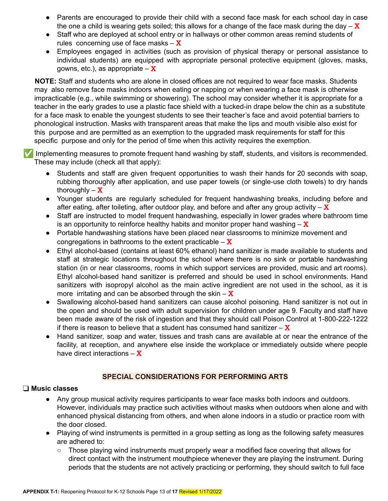- Parents are encouraged to provide their child with a second face mask for each school day in case the one a child is wearing gets soiled; this allows for a change of the face mask during the day  $-\mathbf{X}$
- Staff who are deployed at school entry or in hallways or other common areas remind students of rules concerning use of face masks  $-\mathbf{X}$
- Employees engaged in activities (such as provision of physical therapy or personal assistance to individual students) are equipped with appropriate personal protective equipment (gloves, masks, gowns, etc.), as appropriate  $-\mathbf{X}$

**NOTE:** Staff and students who are alone in closed offices are not required to wear face masks. Students may also remove face masks indoors when eating or napping or when wearing a face mask is otherwise impracticable (e.g., while swimming or showering). The school may consider whether it is appropriate for a teacher in the early grades to use a plastic face shield with a tucked-in drape below the chin as a substitute for a face mask to enable the youngest students to see their teacher's face and avoid potential barriers to phonological instruction. Masks with transparent areas that make the lips and mouth visible also exist for this purpose and are permitted as an exemption to the upgraded mask requirements for staff for this specific purpose and only for the period of time when this activity requires the exemption.

✅ Implementing measures to promote frequent hand washing by staff, students, and visitors is recommended. These may include (check all that apply):

- Students and staff are given frequent opportunities to wash their hands for 20 seconds with soap, rubbing thoroughly after application, and use paper towels (or single-use cloth towels) to dry hands thoroughly  $-\mathbf{X}$
- Younger students are regularly scheduled for frequent handwashing breaks, including before and after eating, after toileting, after outdoor play, and before and after any group activity  $-\mathbf{X}$
- Staff are instructed to model frequent handwashing, especially in lower grades where bathroom time is an opportunity to reinforce healthy habits and monitor proper hand washing  $-\mathbf{X}$
- Portable handwashing stations have been placed near classrooms to minimize movement and congregations in bathrooms to the extent practicable  $-\mathbf{X}$
- Ethyl alcohol-based (contains at least 60% ethanol) hand sanitizer is made available to students and staff at strategic locations throughout the school where there is no sink or portable handwashing station (in or near classrooms, rooms in which support services are provided, music and art rooms). Ethyl alcohol-based hand sanitizer is preferred and should be used in school environments. Hand sanitizers with isopropyl alcohol as the main active ingredient are not used in the school, as it is more irritating and can be absorbed through the skin  $-\mathbf{X}$
- Swallowing alcohol-based hand sanitizers can cause alcohol poisoning. Hand sanitizer is not out in the open and should be used with adult supervision for children under age 9. Faculty and staff have been made aware of the risk of ingestion and that they should call Poison Control at 1-800-222-1222 if there is reason to believe that a student has consumed hand sanitizer  $-\mathbf{X}$
- Hand sanitizer, soap and water, tissues and trash cans are available at or near the entrance of the facility, at reception, and anywhere else inside the workplace or immediately outside where people have direct interactions  $-\mathbf{X}$

#### **SPECIAL CONSIDERATIONS FOR PERFORMING ARTS**

#### ❑ **Music classes**

- Any group musical activity requires participants to wear face masks both indoors and outdoors. However, individuals may practice such activities without masks when outdoors when alone and with enhanced physical distancing from others, and when alone indoors in a studio or practice room with the door closed.
- Playing of wind instruments is permitted in a group setting as long as the following safety measures are adhered to:
	- Those playing wind instruments must properly wear a modified face covering that allows for direct contact with the instrument mouthpiece whenever they are playing the instrument. During periods that the students are not actively practicing or performing, they should switch to full face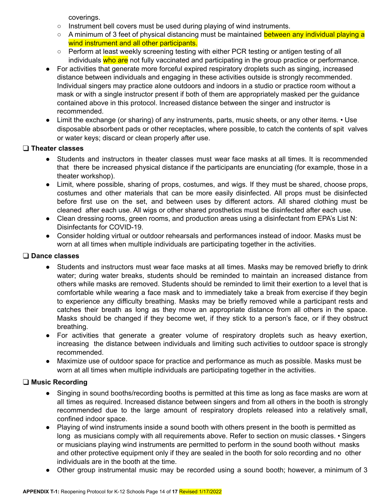coverings.

- Instrument bell covers must be used during playing of wind instruments.
- A minimum of 3 feet of physical distancing must be maintained between any individual playing a wind instrument and all other participants.
- Perform at least weekly screening testing with either PCR testing or antigen testing of all individuals who are not fully vaccinated and participating in the group practice or performance.
- For activities that generate more forceful expired respiratory droplets such as singing, increased distance between individuals and engaging in these activities outside is strongly recommended. Individual singers may practice alone outdoors and indoors in a studio or practice room without a mask or with a single instructor present if both of them are appropriately masked per the guidance contained above in this protocol. Increased distance between the singer and instructor is recommended.
- Limit the exchange (or sharing) of any instruments, parts, music sheets, or any other items. Use disposable absorbent pads or other receptacles, where possible, to catch the contents of spit valves or water keys; discard or clean properly after use.

## ❑ **Theater classes**

- Students and instructors in theater classes must wear face masks at all times. It is recommended that there be increased physical distance if the participants are enunciating (for example, those in a theater workshop).
- Limit, where possible, sharing of props, costumes, and wigs. If they must be shared, choose props, costumes and other materials that can be more easily disinfected. All props must be disinfected before first use on the set, and between uses by different actors. All shared clothing must be cleaned after each use. All wigs or other shared prosthetics must be disinfected after each use.
- Clean dressing rooms, green rooms, and production areas using a disinfectant from EPA's List N: Disinfectants for COVID-19.
- Consider holding virtual or outdoor rehearsals and performances instead of indoor. Masks must be worn at all times when multiple individuals are participating together in the activities.

## ❑ **Dance classes**

- Students and instructors must wear face masks at all times. Masks may be removed briefly to drink water; during water breaks, students should be reminded to maintain an increased distance from others while masks are removed. Students should be reminded to limit their exertion to a level that is comfortable while wearing a face mask and to immediately take a break from exercise if they begin to experience any difficulty breathing. Masks may be briefly removed while a participant rests and catches their breath as long as they move an appropriate distance from all others in the space. Masks should be changed if they become wet, if they stick to a person's face, or if they obstruct breathing.
- For activities that generate a greater volume of respiratory droplets such as heavy exertion, increasing the distance between individuals and limiting such activities to outdoor space is strongly recommended.
- Maximize use of outdoor space for practice and performance as much as possible. Masks must be worn at all times when multiple individuals are participating together in the activities.

## ❑ **Music Recording**

- Singing in sound booths/recording booths is permitted at this time as long as face masks are worn at all times as required. Increased distance between singers and from all others in the booth is strongly recommended due to the large amount of respiratory droplets released into a relatively small, confined indoor space.
- Playing of wind instruments inside a sound booth with others present in the booth is permitted as long as musicians comply with all requirements above. Refer to section on music classes. • Singers or musicians playing wind instruments are permitted to perform in the sound booth without masks and other protective equipment only if they are sealed in the booth for solo recording and no other individuals are in the booth at the time.
- Other group instrumental music may be recorded using a sound booth; however, a minimum of 3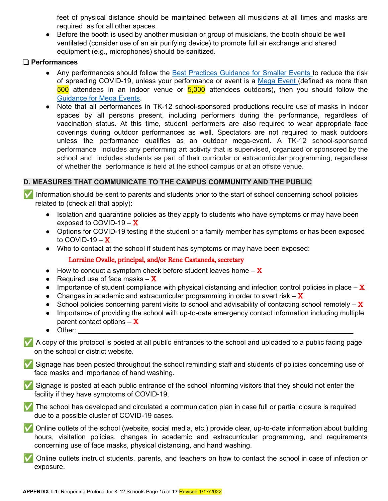feet of physical distance should be maintained between all musicians at all times and masks are required as for all other spaces.

• Before the booth is used by another musician or group of musicians, the booth should be well ventilated (consider use of an air purifying device) to promote full air exchange and shared equipment (e.g., microphones) should be sanitized.

#### ❑ **Performances**

- Any performances should follow the Best Practices Guidance for Smaller Events to reduce the risk of spreading COVID-19, unless your performance or event is a Mega Event (defined as more than 500 attendees in an indoor venue or 5,000 attendees outdoors), then you should follow the Guidance for Mega Events.
- Note that all performances in TK-12 school-sponsored productions require use of masks in indoor spaces by all persons present, including performers during the performance, regardless of vaccination status. At this time, student performers are also required to wear appropriate face coverings during outdoor performances as well. Spectators are not required to mask outdoors unless the performance qualifies as an outdoor mega-event. A TK-12 school-sponsored performance includes any performing art activity that is supervised, organized or sponsored by the school and includes students as part of their curricular or extracurricular programming, regardless of whether the performance is held at the school campus or at an offsite venue.

#### **D. MEASURES THAT COMMUNICATE TO THE CAMPUS COMMUNITY AND THE PUBLIC**

✅ Information should be sent to parents and students prior to the start of school concerning school policies related to (check all that apply):

- Isolation and quarantine policies as they apply to students who have symptoms or may have been exposed to COVID-19  $- X$
- Options for COVID-19 testing if the student or a family member has symptoms or has been exposed to COVID-19  $- X$
- Who to contact at the school if student has symptoms or may have been exposed:

Lorraine Ovalle, principal, and/or Rene Castaneda, secretary

- $\bullet$  How to conduct a symptom check before student leaves home  $-\mathbf{X}$
- Required use of face masks  $-\mathbf{X}$
- Importance of student compliance with physical distancing and infection control policies in place  $-\mathbf{X}$
- Changes in academic and extracurricular programming in order to avert risk  $-\mathbf{X}$
- School policies concerning parent visits to school and advisability of contacting school remotely  $-\mathbf{X}$
- Importance of providing the school with up-to-date emergency contact information including multiple parent contact options  $-\mathbf{X}$
- $\bullet$  Other:

✅ A copy of this protocol is posted at all public entrances to the school and uploaded to a public facing page on the school or district website.

■ Signage has been posted throughout the school reminding staff and students of policies concerning use of face masks and importance of hand washing.

✅ Signage is posted at each public entrance of the school informing visitors that they should not enter the facility if they have symptoms of COVID-19.

✅ The school has developed and circulated a communication plan in case full or partial closure is required due to a possible cluster of COVID-19 cases.

✅ Online outlets of the school (website, social media, etc.) provide clear, up-to-date information about building hours, visitation policies, changes in academic and extracurricular programming, and requirements concerning use of face masks, physical distancing, and hand washing.

✅ Online outlets instruct students, parents, and teachers on how to contact the school in case of infection or exposure.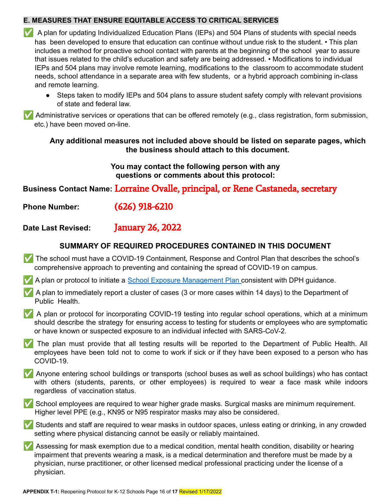## **E. MEASURES THAT ENSURE EQUITABLE ACCESS TO CRITICAL SERVICES**

✅ A plan for updating Individualized Education Plans (IEPs) and 504 Plans of students with special needs has been developed to ensure that education can continue without undue risk to the student. • This plan includes a method for proactive school contact with parents at the beginning of the school year to assure that issues related to the child's education and safety are being addressed. • Modifications to individual IEPs and 504 plans may involve remote learning, modifications to the classroom to accommodate student needs, school attendance in a separate area with few students, or a hybrid approach combining in-class and remote learning.

● Steps taken to modify IEPs and 504 plans to assure student safety comply with relevant provisions of state and federal law.

✅ Administrative services or operations that can be offered remotely (e.g., class registration, form submission, etc.) have been moved on-line.

**Any additional measures not included above should be listed on separate pages, which the business should attach to this document.**

> **You may contact the following person with any questions or comments about this protocol:**

**Business Contact Name:** Lorraine Ovalle, principal, or Rene Castaneda, secretary

**Phone Number:** (626) 918-6210

**Date Last Revised:** January 26, 2022

## **SUMMARY OF REQUIRED PROCEDURES CONTAINED IN THIS DOCUMENT**

- ✅ The school must have a COVID-19 Containment, Response and Control Plan that describes the school's comprehensive approach to preventing and containing the spread of COVID-19 on campus.
- ✅ A plan or protocol to initiate a School Exposure Management Plan consistent with DPH guidance.
- ✅ A plan to immediately report a cluster of cases (3 or more cases within 14 days) to the Department of Public Health.
- ✅ A plan or protocol for incorporating COVID-19 testing into regular school operations, which at a minimum should describe the strategy for ensuring access to testing for students or employees who are symptomatic or have known or suspected exposure to an individual infected with SARS-CoV-2.
- ✅ The plan must provide that all testing results will be reported to the Department of Public Health. All employees have been told not to come to work if sick or if they have been exposed to a person who has COVID-19.
- ✅ Anyone entering school buildings or transports (school buses as well as school buildings) who has contact with others (students, parents, or other employees) is required to wear a face mask while indoors regardless of vaccination status.
- ✅ School employees are required to wear higher grade masks. Surgical masks are minimum requirement. Higher level PPE (e.g., KN95 or N95 respirator masks may also be considered.
- ✅ Students and staff are required to wear masks in outdoor spaces, unless eating or drinking, in any crowded setting where physical distancing cannot be easily or reliably maintained.
- ✅ Assessing for mask exemption due to a medical condition, mental health condition, disability or hearing impairment that prevents wearing a mask, is a medical determination and therefore must be made by a physician, nurse practitioner, or other licensed medical professional practicing under the license of a physician.